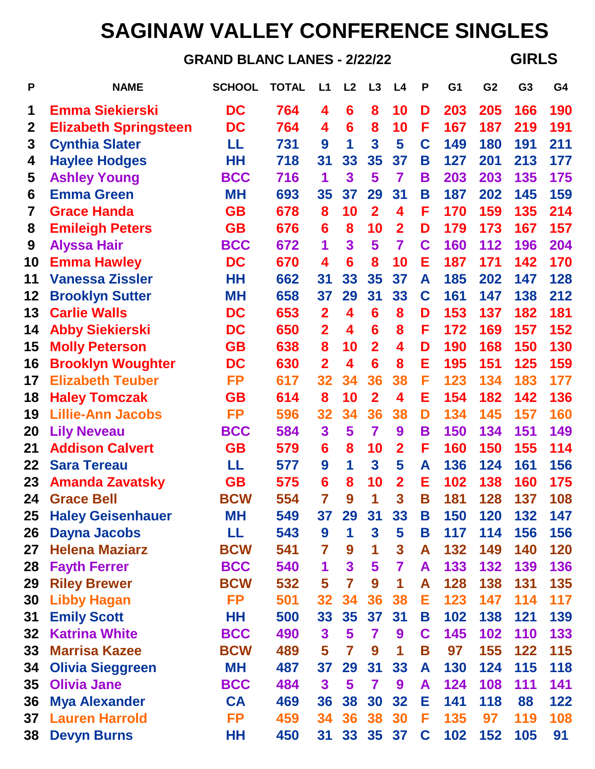## **SAGINAW VALLEY CONFERENCE SINGLES**

**GRAND BLANC LANES - 2/22/22 GIRLS**

| P            | <b>NAME</b>                  | <b>SCHOOL</b> | <b>TOTAL</b> | L1                      | L <sub>2</sub>          | L3                      | L4                      | P | G <sub>1</sub> | G <sub>2</sub> | G <sub>3</sub> | G4  |
|--------------|------------------------------|---------------|--------------|-------------------------|-------------------------|-------------------------|-------------------------|---|----------------|----------------|----------------|-----|
| 1            | <b>Emma Siekierski</b>       | DC            | 764          | 4                       | 6                       | 8                       | 10                      | D | 203            | 205            | 166            | 190 |
| $\mathbf{2}$ | <b>Elizabeth Springsteen</b> | DC            | 764          | 4                       | $6\phantom{1}6$         | 8                       | 10                      | F | 167            | 187            | 219            | 191 |
| 3            | <b>Cynthia Slater</b>        | LL            | 731          | 9                       | 1                       | $\overline{\mathbf{3}}$ | 5                       | C | 149            | 180            | 191            | 211 |
| 4            | <b>Haylee Hodges</b>         | HН            | 718          | 31                      | 33                      | 35                      | 37                      | Β | 127            | 201            | 213            | 177 |
| 5            | <b>Ashley Young</b>          | <b>BCC</b>    | 716          | 1                       | 3                       | 5                       | $\overline{\mathbf{7}}$ | В | 203            | 203            | 135            | 175 |
| 6            | <b>Emma Green</b>            | <b>MH</b>     | 693          | 35                      | 37                      | 29                      | 31                      | Β | 187            | 202            | 145            | 159 |
| 7            | <b>Grace Handa</b>           | <b>GB</b>     | 678          | 8                       | 10                      | $\overline{2}$          | 4                       | F | 170            | 159            | 135            | 214 |
| 8            | <b>Emileigh Peters</b>       | <b>GB</b>     | 676          | 6                       | 8                       | 10                      | $\overline{2}$          | D | 179            | 173            | 167            | 157 |
| 9            | <b>Alyssa Hair</b>           | <b>BCC</b>    | 672          | 1                       | $\overline{\mathbf{3}}$ | 5                       | 7                       | C | 160            | 112            | 196            | 204 |
| 10           | <b>Emma Hawley</b>           | DC            | 670          | 4                       | 6                       | 8                       | 10                      | Е | 187            | 171            | 142            | 170 |
| 11           | <b>Vanessa Zissler</b>       | HН            | 662          | 31                      | 33                      | 35                      | 37                      | A | 185            | 202            | 147            | 128 |
| 12           | <b>Brooklyn Sutter</b>       | <b>MH</b>     | 658          | 37                      | 29                      | 31                      | 33                      | C | 161            | 147            | 138            | 212 |
| 13           | <b>Carlie Walls</b>          | DC            | 653          | $\overline{2}$          | 4                       | 6                       | 8                       | D | 153            | 137            | 182            | 181 |
| 14           | <b>Abby Siekierski</b>       | DC            | 650          | $\overline{2}$          | 4                       | 6                       | 8                       | F | 172            | 169            | 157            | 152 |
| 15           | <b>Molly Peterson</b>        | <b>GB</b>     | 638          | 8                       | 10                      | $\overline{2}$          | 4                       | D | 190            | 168            | 150            | 130 |
| 16           | <b>Brooklyn Woughter</b>     | DC            | 630          | $\overline{2}$          | 4                       | 6                       | 8                       | Е | 195            | 151            | 125            | 159 |
| 17           | <b>Elizabeth Teuber</b>      | <b>FP</b>     | 617          | 32                      | 34                      | 36                      | 38                      | F | 123            | 134            | 183            | 177 |
| 18           | <b>Haley Tomczak</b>         | <b>GB</b>     | 614          | 8                       | 10                      | $\overline{2}$          | 4                       | Е | 154            | 182            | 142            | 136 |
| 19           | <b>Lillie-Ann Jacobs</b>     | <b>FP</b>     | 596          | 32                      | 34                      | 36                      | 38                      | D | 134            | 145            | 157            | 160 |
| 20           | <b>Lily Neveau</b>           | <b>BCC</b>    | 584          | 3                       | 5                       | $\overline{\mathbf{z}}$ | 9                       | В | 150            | 134            | 151            | 149 |
| 21           | <b>Addison Calvert</b>       | <b>GB</b>     | 579          | 6                       | 8                       | 10                      | $\overline{2}$          | F | 160            | 150            | 155            | 114 |
| 22           | <b>Sara Tereau</b>           | LL            | 577          | 9                       | 1                       | $\overline{\mathbf{3}}$ | 5                       | A | 136            | 124            | 161            | 156 |
| 23           | <b>Amanda Zavatsky</b>       | <b>GB</b>     | 575          | 6                       | 8                       | 10                      | $\overline{2}$          | Е | 102            | 138            | 160            | 175 |
| 24           | <b>Grace Bell</b>            | <b>BCW</b>    | 554          | 7                       | 9                       | 1                       | 3                       | Β | 181            | 128            | 137            | 108 |
| 25           | <b>Haley Geisenhauer</b>     | <b>MH</b>     | 549          | 37                      | 29                      | 31                      | 33                      | Β | 150            | 120            | 132            | 147 |
| 26           | <b>Dayna Jacobs</b>          | LL            | 543          | 9                       | 1                       | $\mathbf{3}$            | 5                       | Β | 117            | 114            | 156            | 156 |
| 27           | <b>Helena Maziarz</b>        | <b>BCW</b>    | 541          | $\overline{\mathbf{r}}$ | 9                       | 1                       | $\mathbf{3}$            | A | 132            | 149            | 140            | 120 |
| 28           | <b>Fayth Ferrer</b>          | <b>BCC</b>    | 540          | 1                       | $\overline{\mathbf{3}}$ | $\overline{\mathbf{5}}$ | 7                       | A | 133            | 132            | 139            | 136 |
| 29           | <b>Riley Brewer</b>          | <b>BCW</b>    | 532          | 5                       | $\overline{7}$          | 9                       | 1                       | A | 128            | 138            | 131            | 135 |
| 30           | <b>Libby Hagan</b>           | <b>FP</b>     | 501          | 32                      | 34                      | 36                      | 38                      | Е | 123            | 147            | 114            | 117 |
| 31           | <b>Emily Scott</b>           | HH            | 500          | 33                      | 35                      | 37                      | 31                      | Β | 102            | 138            | 121            | 139 |
| 32           | <b>Katrina White</b>         | <b>BCC</b>    | 490          | $\mathbf{3}$            | 5                       | 7                       | 9                       | C | 145            | 102            | 110            | 133 |
| 33           | <b>Marrisa Kazee</b>         | <b>BCW</b>    | 489          | 5                       | $\overline{\mathbf{7}}$ | 9                       | 1                       | Β | 97             | 155            | 122            | 115 |
| 34           | <b>Olivia Sieggreen</b>      | <b>MH</b>     | 487          | 37                      | 29                      | 31                      | 33                      | A | 130            | 124            | <b>115</b>     | 118 |
| 35           | <b>Olivia Jane</b>           | <b>BCC</b>    | 484          | 3                       | 5                       | $\overline{\mathbf{7}}$ | 9                       | A | 124            | 108            | 111            | 141 |
| 36           | <b>Mya Alexander</b>         | <b>CA</b>     | 469          | 36                      | 38                      | 30                      | 32                      | Е | 141            | 118            | 88             | 122 |
| 37           | <b>Lauren Harrold</b>        | <b>FP</b>     | 459          | 34                      | 36                      | 38                      | 30                      | F | 135            | 97             | 119            | 108 |
| 38           | <b>Devyn Burns</b>           | HН            | 450          | 31                      | 33 <sub>°</sub>         |                         | 35 37                   | C | 102            | 152            | 105            | 91  |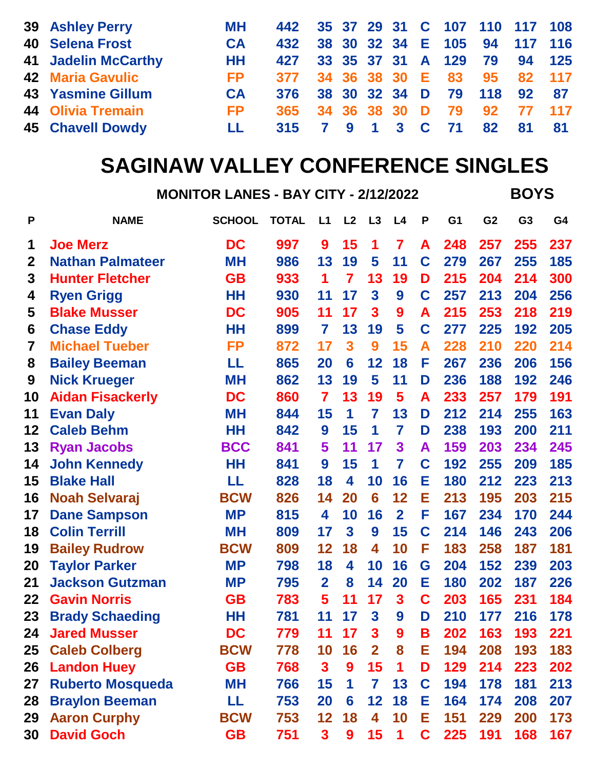| <b>39 Ashley Perry</b>     | MН        | 442 35 37 29 31 C 107 110 117 108 |  |  |  |  |  |
|----------------------------|-----------|-----------------------------------|--|--|--|--|--|
| <b>40 Selena Frost</b>     | <b>CA</b> | 432 38 30 32 34 E 105 94 117 116  |  |  |  |  |  |
| <b>41 Jadelin McCarthy</b> | HH        | 427 33 35 37 31 A 129 79 94 125   |  |  |  |  |  |
| <b>42 Maria Gavulic</b>    | FP -      | 377 34 36 38 30 E 83 95 82 117    |  |  |  |  |  |
| <b>43 Yasmine Gillum</b>   | <b>CA</b> | 376 38 30 32 34 D 79 118 92 87    |  |  |  |  |  |
| <b>44 Olivia Tremain</b>   | FP -      | 365 34 36 38 30 D 79 92 77 117    |  |  |  |  |  |
| <b>45 Chavell Dowdy</b>    | LL.       | 315 7 9 1 3 C 71 82 81 81         |  |  |  |  |  |
|                            |           |                                   |  |  |  |  |  |

## **SAGINAW VALLEY CONFERENCE SINGLES**

**MONITOR LANES - BAY CITY - 2/12/2022 BOYS**

| P           | <b>NAME</b>             | <b>SCHOOL</b> | <b>TOTAL</b> | L1             | L2                      | L3                      | L4             | P | G <sub>1</sub> | G <sub>2</sub> | G <sub>3</sub> | G4  |
|-------------|-------------------------|---------------|--------------|----------------|-------------------------|-------------------------|----------------|---|----------------|----------------|----------------|-----|
| 1           | <b>Joe Merz</b>         | DC            | 997          | 9              | 15                      | 1                       | 7              | A | 248            | 257            | 255            | 237 |
| $\mathbf 2$ | <b>Nathan Palmateer</b> | <b>MH</b>     | 986          | 13             | 19                      | 5                       | 11             | C | 279            | 267            | 255            | 185 |
| 3           | <b>Hunter Fletcher</b>  | <b>GB</b>     | 933          | 1              | $\overline{\mathbf{7}}$ | 13                      | 19             | D | 215            | 204            | 214            | 300 |
| 4           | <b>Ryen Grigg</b>       | HΗ            | 930          | 11             | 17                      | $\overline{\mathbf{3}}$ | 9              | C | 257            | 213            | 204            | 256 |
| 5           | <b>Blake Musser</b>     | DC            | 905          | 11             | 17                      | $\overline{\mathbf{3}}$ | 9              | A | 215            | 253            | 218            | 219 |
| 6           | <b>Chase Eddy</b>       | HΗ            | 899          | 7              | 13                      | 19                      | 5              | C | 277            | 225            | 192            | 205 |
| 7           | <b>Michael Tueber</b>   | <b>FP</b>     | 872          | 17             | 3                       | 9                       | 15             | A | 228            | 210            | 220            | 214 |
| 8           | <b>Bailey Beeman</b>    | LL            | 865          | 20             | 6                       | 12                      | 18             | F | 267            | 236            | 206            | 156 |
| 9           | <b>Nick Krueger</b>     | <b>MH</b>     | 862          | 13             | 19                      | 5                       | 11             | D | 236            | 188            | 192            | 246 |
| 10          | <b>Aidan Fisackerly</b> | <b>DC</b>     | 860          | 7              | 13                      | 19                      | 5              | A | 233            | 257            | 179            | 191 |
| 11          | <b>Evan Daly</b>        | <b>MH</b>     | 844          | 15             | 1                       | 7                       | 13             | D | 212            | 214            | 255            | 163 |
| 12          | <b>Caleb Behm</b>       | HH            | 842          | 9              | 15                      | 1                       | 7              | D | 238            | 193            | 200            | 211 |
| 13          | <b>Ryan Jacobs</b>      | <b>BCC</b>    | 841          | 5              | 11                      | 17                      | 3              | A | 159            | 203            | 234            | 245 |
| 14          | <b>John Kennedy</b>     | HН            | 841          | 9              | 15                      | 1                       | 7              | C | 192            | 255            | 209            | 185 |
| 15          | <b>Blake Hall</b>       | LL            | 828          | 18             | 4                       | 10                      | 16             | Е | 180            | 212            | 223            | 213 |
| 16          | <b>Noah Selvaraj</b>    | <b>BCW</b>    | 826          | 14             | 20                      | 6                       | 12             | Е | 213            | 195            | 203            | 215 |
| 17          | <b>Dane Sampson</b>     | <b>MP</b>     | 815          | 4              | 10                      | 16                      | $\overline{2}$ | F | 167            | 234            | 170            | 244 |
| 18          | <b>Colin Terrill</b>    | <b>MH</b>     | 809          | 17             | 3                       | 9                       | 15             | C | 214            | 146            | 243            | 206 |
| 19          | <b>Bailey Rudrow</b>    | <b>BCW</b>    | 809          | 12             | 18                      | 4                       | 10             | F | 183            | 258            | 187            | 181 |
| 20          | <b>Taylor Parker</b>    | <b>MP</b>     | 798          | 18             | 4                       | 10                      | 16             | G | 204            | 152            | 239            | 203 |
| 21          | <b>Jackson Gutzman</b>  | <b>MP</b>     | 795          | $\overline{2}$ | 8                       | 14                      | 20             | Е | 180            | 202            | 187            | 226 |
| 22          | <b>Gavin Norris</b>     | <b>GB</b>     | 783          | 5              | 11                      | 17                      | 3              | C | 203            | 165            | 231            | 184 |
| 23          | <b>Brady Schaeding</b>  | HΗ            | 781          | 11             | 17                      | $\overline{\mathbf{3}}$ | 9              | D | 210            | 177            | 216            | 178 |
| 24          | <b>Jared Musser</b>     | DC            | 779          | 11             | 17                      | 3                       | 9              | Β | 202            | 163            | 193            | 221 |
| 25          | <b>Caleb Colberg</b>    | <b>BCW</b>    | 778          | 10             | 16                      | $\overline{2}$          | 8              | Е | 194            | 208            | 193            | 183 |
| 26          | <b>Landon Huey</b>      | <b>GB</b>     | 768          | $\mathbf{3}$   | 9                       | 15                      | 1              | D | 129            | 214            | 223            | 202 |
| 27          | <b>Ruberto Mosqueda</b> | <b>MH</b>     | 766          | 15             | 1                       | 7                       | 13             | C | 194            | 178            | 181            | 213 |
| 28          | <b>Braylon Beeman</b>   | LL            | 753          | <b>20</b>      | 6                       | 12                      | 18             | Е | 164            | 174            | 208            | 207 |
| 29          | <b>Aaron Curphy</b>     | <b>BCW</b>    | 753          | 12             | 18                      | 4                       | 10             | Е | 151            | 229            | <b>200</b>     | 173 |
| 30          | <b>David Goch</b>       | <b>GB</b>     | 751          | $\mathbf{3}$   | 9                       | 15                      | $\mathbf 1$    | C | 225            | 191            | 168            | 167 |
|             |                         |               |              |                |                         |                         |                |   |                |                |                |     |